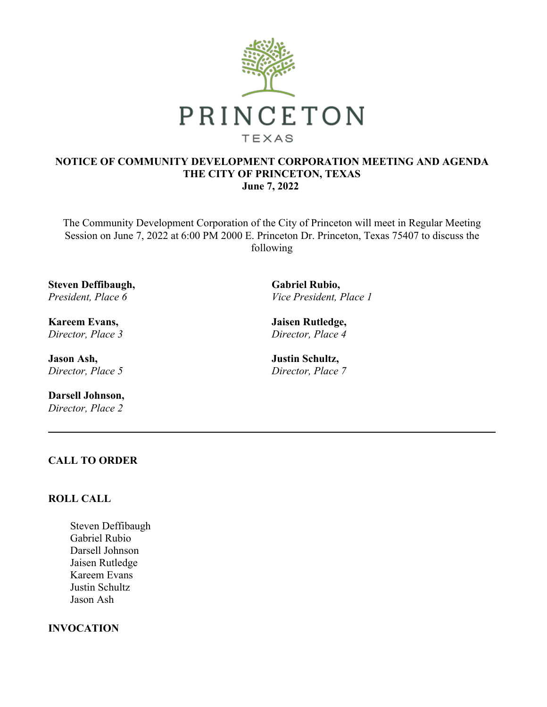

## **NOTICE OF COMMUNITY DEVELOPMENT CORPORATION MEETING AND AGENDA THE CITY OF PRINCETON, TEXAS June 7, 2022**

The Community Development Corporation of the City of Princeton will meet in Regular Meeting Session on June 7, 2022 at 6:00 PM 2000 E. Princeton Dr. Princeton, Texas 75407 to discuss the following

**Steven Deffibaugh,**  *President, Place 6*

**Kareem Evans,**  *Director, Place 3*

**Jason Ash,**  *Director, Place 5*

**Darsell Johnson,**  *Director, Place 2*

**Gabriel Rubio,**  *Vice President, Place 1*

**Jaisen Rutledge,**  *Director, Place 4*

**Justin Schultz,**  *Director, Place 7*

# **CALL TO ORDER**

## **ROLL CALL**

Steven Deffibaugh Gabriel Rubio Darsell Johnson Jaisen Rutledge Kareem Evans Justin Schultz Jason Ash

### **INVOCATION**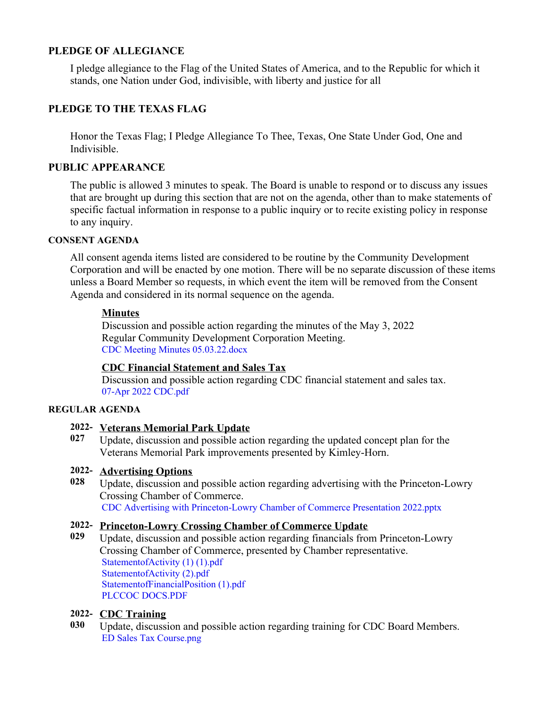## **PLEDGE OF ALLEGIANCE**

I pledge allegiance to the Flag of the United States of America, and to the Republic for which it stands, one Nation under God, indivisible, with liberty and justice for all

## **PLEDGE TO THE TEXAS FLAG**

Honor the Texas Flag; I Pledge Allegiance To Thee, Texas, One State Under God, One and Indivisible.

## **PUBLIC APPEARANCE**

The public is allowed 3 minutes to speak. The Board is unable to respond or to discuss any issues that are brought up during this section that are not on the agenda, other than to make statements of specific factual information in response to a public inquiry or to recite existing policy in response to any inquiry.

#### **CONSENT AGENDA**

All consent agenda items listed are considered to be routine by the Community Development Corporation and will be enacted by one motion. There will be no separate discussion of these items unless a Board Member so requests, in which event the item will be removed from the Consent Agenda and considered in its normal sequence on the agenda.

#### **Minutes**

Discussion and possible action regarding the minutes of the May 3, 2022 Regular Community Development Corporation Meeting. [CDC Meeting Minutes 05.03.22.docx](https://legistarweb-production.s3.amazonaws.com/uploads/attachment/pdf/1390922/CDC_Meeting_Minutes_05.03.22.pdf)

## **CDC Financial Statement and Sales Tax**

Discussion and possible action regarding CDC financial statement and sales tax. [07-Apr 2022 CDC.pdf](https://legistarweb-production.s3.amazonaws.com/uploads/attachment/pdf/1401772/07-Apr_2022_CDC.pdf)

#### **REGULAR AGENDA**

#### **2022- Veterans Memorial Park Update**

**027** Update, discussion and possible action regarding the updated concept plan for the Veterans Memorial Park improvements presented by Kimley-Horn.

#### **2022- Advertising Options**

**028** Update, discussion and possible action regarding advertising with the Princeton-Lowry Crossing Chamber of Commerce. [CDC Advertising with Princeton-Lowry Chamber of Commerce Presentation 2022.pptx](https://legistarweb-production.s3.amazonaws.com/uploads/attachment/pdf/1391708/CDC_Advertising_with_Princeton-Lowry_Chamber_of_Commerce_Presentation_2022.pdf)

#### **2022- Princeton-Lowry Crossing Chamber of Commerce Update**

**029** Update, discussion and possible action regarding financials from Princeton-Lowry Crossing Chamber of Commerce, presented by Chamber representative. [StatementofActivity \(1\) \(1\).pdf](https://legistarweb-production.s3.amazonaws.com/uploads/attachment/pdf/1391829/StatementofActivity__1___1_.pdf) [StatementofActivity \(2\).pdf](https://legistarweb-production.s3.amazonaws.com/uploads/attachment/pdf/1367656/StatementofActivity__2_.pdf) [StatementofFinancialPosition \(1\).pdf](https://legistarweb-production.s3.amazonaws.com/uploads/attachment/pdf/1367657/StatementofFinancialPosition__1_.pdf) [PLCCOC DOCS.PDF](https://legistarweb-production.s3.amazonaws.com/uploads/attachment/pdf/1367650/PLCCOC_DOCS.PDF)

#### **2022- CDC Training**

**030** Update, discussion and possible action regarding training for CDC Board Members. [ED Sales Tax Course.png](https://legistarweb-production.s3.amazonaws.com/uploads/attachment/pdf/1401398/ED_Sales_Tax_Course.pdf)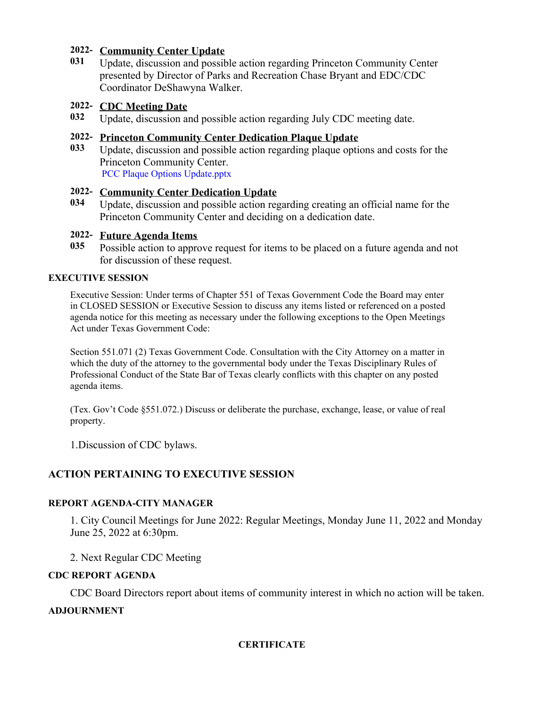## **2022- Community Center Update**

**031** Update, discussion and possible action regarding Princeton Community Center presented by Director of Parks and Recreation Chase Bryant and EDC/CDC Coordinator DeShawyna Walker.

## **2022- CDC Meeting Date**

**032** Update, discussion and possible action regarding July CDC meeting date.

## **2022- Princeton Community Center Dedication Plaque Update**

**033** Update, discussion and possible action regarding plaque options and costs for the Princeton Community Center. [PCC Plaque Options Update.pptx](https://legistarweb-production.s3.amazonaws.com/uploads/attachment/pdf/1402055/PCC_Plaque_Options_Update.pdf)

## **2022- Community Center Dedication Update**

**034** Update, discussion and possible action regarding creating an official name for the Princeton Community Center and deciding on a dedication date.

## **2022- Future Agenda Items**

**035** Possible action to approve request for items to be placed on a future agenda and not for discussion of these request.

## **EXECUTIVE SESSION**

Executive Session: Under terms of Chapter 551 of Texas Government Code the Board may enter in CLOSED SESSION or Executive Session to discuss any items listed or referenced on a posted agenda notice for this meeting as necessary under the following exceptions to the Open Meetings Act under Texas Government Code:

Section 551.071 (2) Texas Government Code. Consultation with the City Attorney on a matter in which the duty of the attorney to the governmental body under the Texas Disciplinary Rules of Professional Conduct of the State Bar of Texas clearly conflicts with this chapter on any posted agenda items.

(Tex. Gov't Code §551.072.) Discuss or deliberate the purchase, exchange, lease, or value of real property.

1.Discussion of CDC bylaws.

# **ACTION PERTAINING TO EXECUTIVE SESSION**

## **REPORT AGENDA-CITY MANAGER**

1. City Council Meetings for June 2022: Regular Meetings, Monday June 11, 2022 and Monday June 25, 2022 at 6:30pm.

2. Next Regular CDC Meeting

## **CDC REPORT AGENDA**

CDC Board Directors report about items of community interest in which no action will be taken.

## **ADJOURNMENT**

## **CERTIFICATE**